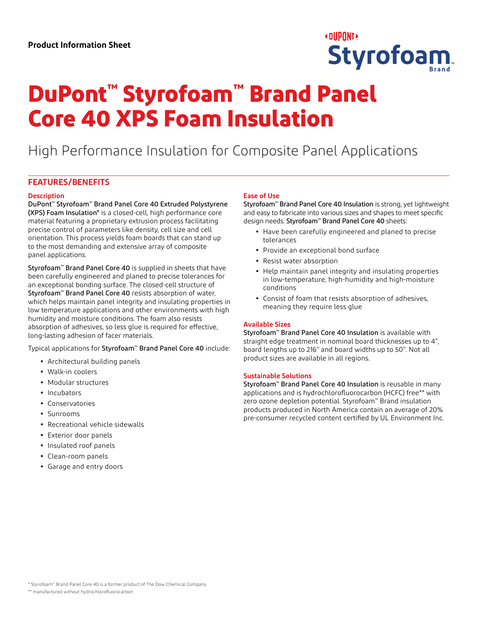

# **DuPont™ Styrofoam™ Brand Panel Core 40 XPS Foam Insulation**

High Performance Insulation for Composite Panel Applications

## **FEATURES/BENEFITS**

## **Description**

DuPont™ Styrofoam™ Brand Panel Core 40 Extruded Polystyrene (XPS) Foam Insulation\* is a closed-cell, high performance core material featuring a proprietary extrusion process facilitating precise control of parameters like density, cell size and cell orientation. This process yields foam boards that can stand up to the most demanding and extensive array of composite panel applications.

Styrofoam<sup>™</sup> Brand Panel Core 40 is supplied in sheets that have been carefully engineered and planed to precise tolerances for an exceptional bonding surface. The closed-cell structure of Styrofoam<sup>™</sup> Brand Panel Core 40 resists absorption of water, which helps maintain panel integrity and insulating properties in low temperature applications and other environments with high humidity and moisture conditions. The foam also resists absorption of adhesives, so less glue is required for effective, long-lasting adhesion of facer materials.

Typical applications for Styrofoam™ Brand Panel Core 40 include:

- **•** Architectural building panels
- **•** Walk-in coolers
- **•** Modular structures
- **•** Incubators
- **•** Conservatories
- **•** Sunrooms
- **•** Recreational vehicle sidewalls
- **•** Exterior door panels
- **•** Insulated roof panels
- **•** Clean-room panels
- **•** Garage and entry doors

## **Ease of Use**

Styrofoam™ Brand Panel Core 40 Insulation is strong, yet lightweight and easy to fabricate into various sizes and shapes to meet specific design needs. Styrofoam™ Brand Panel Core 40 sheets:

- **•** Have been carefully engineered and planed to precise tolerances
- **•** Provide an exceptional bond surface
- **•** Resist water absorption
- **•** Help maintain panel integrity and insulating properties in low-temperature, high-humidity and high-moisture conditions
- **•** Consist of foam that resists absorption of adhesives, meaning they require less glue

## **Available Sizes**

Styrofoam™ Brand Panel Core 40 Insulation is available with straight edge treatment in nominal board thicknesses up to 4", board lengths up to 216" and board widths up to 50". Not all product sizes are available in all regions.

## **Sustainable Solutions**

Styrofoam™ Brand Panel Core 40 Insulation is reusable in many applications and is hydrochlorofluorocarbon (HCFC) free\*\* with zero ozone depletion potential. Styrofoam™ Brand insulation products produced in North America contain an average of 20% pre-consumer recycled content certified by UL Environment Inc.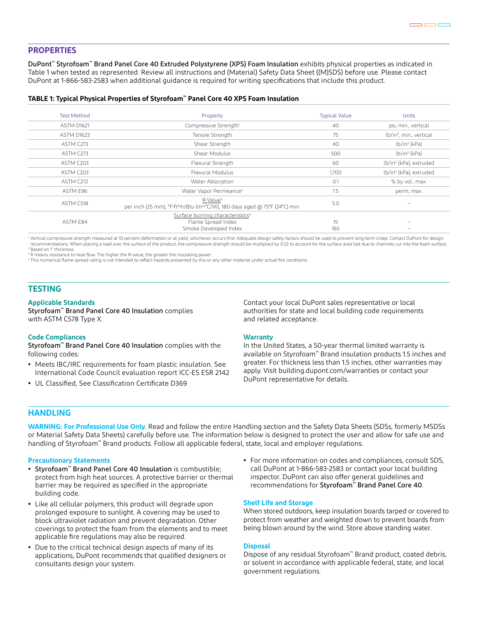## **PROPERTIES**

DuPont™ Styrofoam™ Brand Panel Core 40 Extruded Polystyrene (XPS) Foam Insulation exhibits physical properties as indicated in Table 1 when tested as represented. Review all instructions and (Material) Safety Data Sheet ((M)SDS) before use. Please contact DuPont at 1-866-583-2583 when additional guidance is required for writing specifications that include this product.

### **TABLE 1: Typical Physical Properties of Styrofoam™ Panel Core 40 XPS Foam Insulation**

| <b>Test Method</b> | Property                                                                                                                   | <b>Typical Value</b> | <b>Units</b>                        |
|--------------------|----------------------------------------------------------------------------------------------------------------------------|----------------------|-------------------------------------|
| <b>ASTM D1621</b>  | Compressive Strength <sup>1</sup>                                                                                          | 40                   | psi, min., vertical                 |
| ASTM D1623         | Tensile Strength                                                                                                           | 75                   | lb/in <sup>2</sup> , min., vertical |
| ASTM C273          | Shear Strength                                                                                                             | 40                   | $lb/in^2$ (kPa)                     |
| ASTM C273          | Shear Modulus                                                                                                              | 500                  | $lb/in^2$ (kPa)                     |
| ASTM C203          | Flexural Strength                                                                                                          | 60                   | lb/in <sup>2</sup> (kPa), extruded  |
| ASTM C203          | Flexural Modulus                                                                                                           | 1,700                | lb/in <sup>2</sup> (kPa), extruded  |
| ASTM C272          | Water Absorption                                                                                                           | 0.1                  | % by vol., max.                     |
| ASTM E96           | Water Vapor Permeance <sup>2</sup>                                                                                         | 1.5                  | perm, max.                          |
| ASTM C518          | R-Value <sup>3</sup><br>per inch (25 mm), °F ft <sup>2</sup> h/Btu (m <sup>2</sup> °C/W), 180 days aged @ 75°F (24°C) min. | 5.0                  | $\qquad \qquad$                     |
| ASTM E84           | Surface burning characteristics <sup>4</sup><br>Flame Spread Index<br>Smoke Developed Index                                | 15<br>165            |                                     |

1 Vertical compressive strength measured at 10 percent deformation or at yield, whichever occurs first. Adequate design safety factors should be used to prevent long-term creep. Contact DuPont for design recommendations. When placing a load over the surface of the product, the compressive strength should be multiplied by 0.52 to account for the surface area lost due to channels cut into the foam surface. 2 Based on 1" thickness

<sup>3</sup> R means resistance to heat flow. The higher the R-value, the greater the insulating power.

4 This numerical flame spread rating is not intended to reflect hazards presented by this or any other material under actual fire conditions.

## **TESTING**

#### **Applicable Standards**

Styrofoam™ Brand Panel Core 40 Insulation complies with ASTM C578 Type X.

#### **Code Compliances**

Styrofoam™ Brand Panel Core 40 Insulation complies with the following codes:

- **•** Meets IBC/IRC requirements for foam plastic insulation. See International Code Council evaluation report ICC-ES ESR 2142
- **•** UL Classified, See Classification Certificate D369

Contact your local DuPont sales representative or local authorities for state and local building code requirements and related acceptance.

#### **Warranty**

In the United States, a 50-year thermal limited warranty is available on Styrofoam™ Brand insulation products 1.5 inches and greater. For thickness less than 1.5 inches, other warranties may apply. Visit building.dupont.com/warranties or contact your DuPont representative for details.

## **HANDLING**

**WARNING: For Professional Use Only**. Read and follow the entire Handling section and the Safety Data Sheets (SDSs, formerly MSDSs or Material Safety Data Sheets) carefully before use. The information below is designed to protect the user and allow for safe use and handling of Styrofoam™ Brand products. Follow all applicable federal, state, local and employer regulations.

#### **Precautionary Statements**

- **•** Styrofoam™ Brand Panel Core 40 Insulation is combustible; protect from high heat sources. A protective barrier or thermal barrier may be required as specified in the appropriate building code.
- **•** Like all cellular polymers, this product will degrade upon prolonged exposure to sunlight. A covering may be used to block ultraviolet radiation and prevent degradation. Other coverings to protect the foam from the elements and to meet applicable fire regulations may also be required.
- **•** Due to the critical technical design aspects of many of its applications, DuPont recommends that qualified designers or consultants design your system.
- **•** For more information on codes and compliances, consult SDS, call DuPont at 1-866-583-2583 or contact your local building inspector. DuPont can also offer general guidelines and recommendations for Styrofoam™ Brand Panel Core 40.

#### **Shelf Life and Storage**

When stored outdoors, keep insulation boards tarped or covered to protect from weather and weighted down to prevent boards from being blown around by the wind. Store above standing water.

## **Disposal**

Dispose of any residual Styrofoam™ Brand product, coated debris, or solvent in accordance with applicable federal, state, and local government regulations.